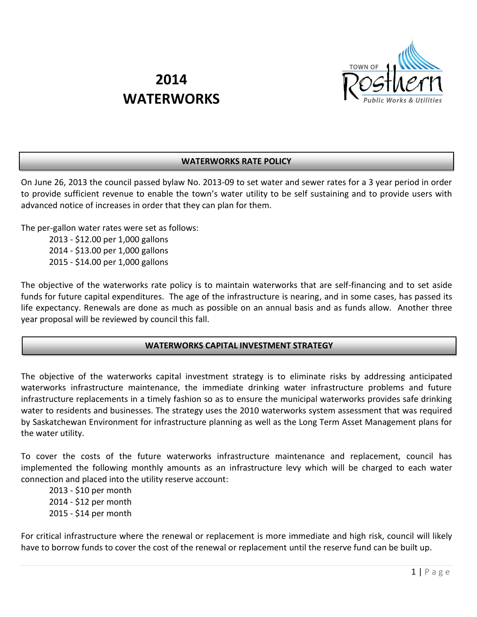

# **2014 WATERWORKS**

## **WATERWORKS RATE POLICY**

On June 26, 2013 the council passed bylaw No. 2013-09 to set water and sewer rates for a 3 year period in order to provide sufficient revenue to enable the town's water utility to be self sustaining and to provide users with advanced notice of increases in order that they can plan for them.

The per-gallon water rates were set as follows:

2013 - \$12.00 per 1,000 gallons 2014 - \$13.00 per 1,000 gallons 2015 - \$14.00 per 1,000 gallons

The objective of the waterworks rate policy is to maintain waterworks that are self-financing and to set aside funds for future capital expenditures. The age of the infrastructure is nearing, and in some cases, has passed its life expectancy. Renewals are done as much as possible on an annual basis and as funds allow. Another three year proposal will be reviewed by council this fall.

## **WATERWORKS CAPITAL INVESTMENT STRATEGY**

The objective of the waterworks capital investment strategy is to eliminate risks by addressing anticipated waterworks infrastructure maintenance, the immediate drinking water infrastructure problems and future infrastructure replacements in a timely fashion so as to ensure the municipal waterworks provides safe drinking water to residents and businesses. The strategy uses the 2010 waterworks system assessment that was required by Saskatchewan Environment for infrastructure planning as well as the Long Term Asset Management plans for the water utility.

To cover the costs of the future waterworks infrastructure maintenance and replacement, council has implemented the following monthly amounts as an infrastructure levy which will be charged to each water connection and placed into the utility reserve account:

2013 - \$10 per month 2014 - \$12 per month 2015 - \$14 per month

For critical infrastructure where the renewal or replacement is more immediate and high risk, council will likely have to borrow funds to cover the cost of the renewal or replacement until the reserve fund can be built up.